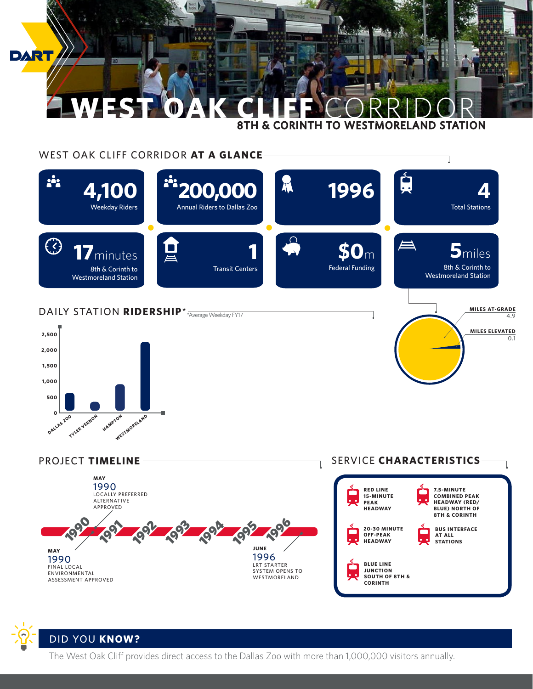

## WEST OAK CLIFF CORRIDOR **AT A GLANCE**







**DALLAS ZOO** 

**TYLER VERNON** 

**HAMPTON** 

WESTMORELAND

The West Oak Cliff provides direct access to the Dallas Zoo with more than 1,000,000 visitors annually.